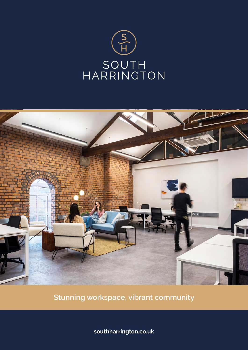



**Stunning workspace, vibrant community**

**southharrington.co.uk**